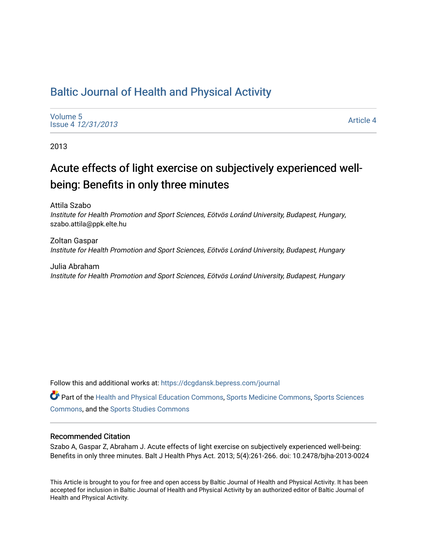# [Baltic Journal of Health and Physical Activity](https://dcgdansk.bepress.com/journal)

[Volume 5](https://dcgdansk.bepress.com/journal/vol5) Issue 4 [12/31/2013](https://dcgdansk.bepress.com/journal/vol5/iss4)

[Article 4](https://dcgdansk.bepress.com/journal/vol5/iss4/4) 

2013

# Acute effects of light exercise on subjectively experienced wellbeing: Benefits in only three minutes

Attila Szabo Institute for Health Promotion and Sport Sciences, Eötvös Loránd University, Budapest, Hungary, szabo.attila@ppk.elte.hu

Zoltan Gaspar Institute for Health Promotion and Sport Sciences, Eötvös Loránd University, Budapest, Hungary

Julia Abraham Institute for Health Promotion and Sport Sciences, Eötvös Loránd University, Budapest, Hungary

Follow this and additional works at: [https://dcgdansk.bepress.com/journal](https://dcgdansk.bepress.com/journal?utm_source=dcgdansk.bepress.com%2Fjournal%2Fvol5%2Fiss4%2F4&utm_medium=PDF&utm_campaign=PDFCoverPages)

Part of the [Health and Physical Education Commons](http://network.bepress.com/hgg/discipline/1327?utm_source=dcgdansk.bepress.com%2Fjournal%2Fvol5%2Fiss4%2F4&utm_medium=PDF&utm_campaign=PDFCoverPages), [Sports Medicine Commons,](http://network.bepress.com/hgg/discipline/1331?utm_source=dcgdansk.bepress.com%2Fjournal%2Fvol5%2Fiss4%2F4&utm_medium=PDF&utm_campaign=PDFCoverPages) [Sports Sciences](http://network.bepress.com/hgg/discipline/759?utm_source=dcgdansk.bepress.com%2Fjournal%2Fvol5%2Fiss4%2F4&utm_medium=PDF&utm_campaign=PDFCoverPages) [Commons](http://network.bepress.com/hgg/discipline/759?utm_source=dcgdansk.bepress.com%2Fjournal%2Fvol5%2Fiss4%2F4&utm_medium=PDF&utm_campaign=PDFCoverPages), and the [Sports Studies Commons](http://network.bepress.com/hgg/discipline/1198?utm_source=dcgdansk.bepress.com%2Fjournal%2Fvol5%2Fiss4%2F4&utm_medium=PDF&utm_campaign=PDFCoverPages) 

#### Recommended Citation

Szabo A, Gaspar Z, Abraham J. Acute effects of light exercise on subjectively experienced well-being: Benefits in only three minutes. Balt J Health Phys Act. 2013; 5(4):261-266. doi: 10.2478/bjha-2013-0024

This Article is brought to you for free and open access by Baltic Journal of Health and Physical Activity. It has been accepted for inclusion in Baltic Journal of Health and Physical Activity by an authorized editor of Baltic Journal of Health and Physical Activity.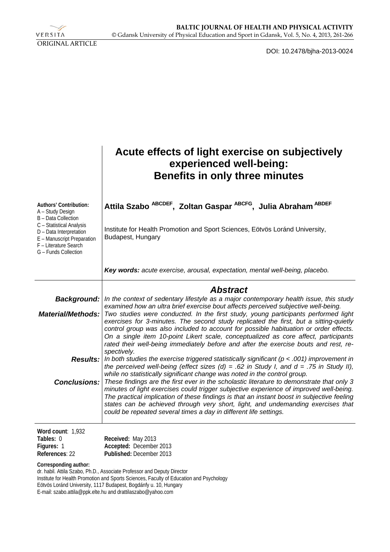

DOI: 10.2478/bjha-2013-0024

|                                                                                                                                    | Acute effects of light exercise on subjectively<br>experienced well-being:<br><b>Benefits in only three minutes</b>                                                                                                                                                                                                                                                                                                                                                                                                                                                                                                                                                                                                                                                        |
|------------------------------------------------------------------------------------------------------------------------------------|----------------------------------------------------------------------------------------------------------------------------------------------------------------------------------------------------------------------------------------------------------------------------------------------------------------------------------------------------------------------------------------------------------------------------------------------------------------------------------------------------------------------------------------------------------------------------------------------------------------------------------------------------------------------------------------------------------------------------------------------------------------------------|
| Authors' Contribution:<br>A - Study Design<br>B - Data Collection                                                                  | Attila Szabo ABCDEF, Zoltan Gaspar ABCFG, Julia Abraham ABDEF                                                                                                                                                                                                                                                                                                                                                                                                                                                                                                                                                                                                                                                                                                              |
| C - Statistical Analysis<br>D - Data Interpretation<br>E - Manuscript Preparation<br>F - Literature Search<br>G - Funds Collection | Institute for Health Promotion and Sport Sciences, Eötvös Loránd University,<br>Budapest, Hungary                                                                                                                                                                                                                                                                                                                                                                                                                                                                                                                                                                                                                                                                          |
|                                                                                                                                    | Key words: acute exercise, arousal, expectation, mental well-being, placebo.                                                                                                                                                                                                                                                                                                                                                                                                                                                                                                                                                                                                                                                                                               |
|                                                                                                                                    | <b>Abstract</b>                                                                                                                                                                                                                                                                                                                                                                                                                                                                                                                                                                                                                                                                                                                                                            |
| Material/Methods:                                                                                                                  | Background:   In the context of sedentary lifestyle as a major contemporary health issue, this study<br>examined how an ultra brief exercise bout affects perceived subjective well-being.<br>Two studies were conducted. In the first study, young participants performed light<br>exercises for 3-minutes. The second study replicated the first, but a sitting-quietly<br>control group was also included to account for possible habituation or order effects.<br>On a single item 10-point Likert scale, conceptualized as core affect, participants<br>rated their well-being immediately before and after the exercise bouts and rest, re-                                                                                                                          |
|                                                                                                                                    | spectively.<br><b>Results:</b> In both studies the exercise triggered statistically significant ( $p < .001$ ) improvement in<br>the perceived well-being (effect sizes $(d) = .62$ in Study I, and $d = .75$ in Study II),<br>while no statistically significant change was noted in the control group.<br><b>Conclusions:</b> These findings are the first ever in the scholastic literature to demonstrate that only 3<br>minutes of light exercises could trigger subjective experience of improved well-being.<br>The practical implication of these findings is that an instant boost in subjective feeling<br>states can be achieved through very short, light, and undemanding exercises that<br>could be repeated several times a day in different life settings. |
| Word count: 1,932<br>Tables: 0<br>Figures: 1<br>References: 22<br>Corresponding author:                                            | Received: May 2013<br>Accepted: December 2013<br>Published: December 2013                                                                                                                                                                                                                                                                                                                                                                                                                                                                                                                                                                                                                                                                                                  |

dr. habil. Attila Szabo, Ph.D., Associate Professor and Deputy Director Institute for Health Promotion and Sports Sciences, Faculty of Education and Psychology Eötvös Loránd University, 1117 Budapest, Bogdánfy u. 10, Hungary E-mail: szabo.attila@ppk.elte.hu and drattilaszabo@yahoo.com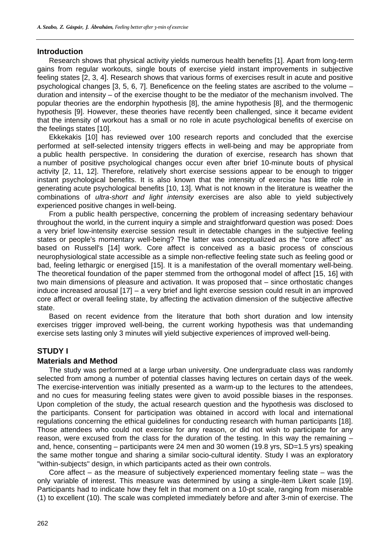#### **Introduction**

Research shows that physical activity yields numerous health benefits [1]. Apart from long-term gains from regular workouts, single bouts of exercise yield instant improvements in subjective feeling states [2, 3, 4]. Research shows that various forms of exercises result in acute and positive psychological changes [3, 5, 6, 7]. Beneficence on the feeling states are ascribed to the volume – duration and intensity – of the exercise thought to be the mediator of the mechanism involved. The popular theories are the endorphin hypothesis [8], the amine hypothesis [8], and the thermogenic hypothesis [9]. However, these theories have recently been challenged, since it became evident that the intensity of workout has a small or no role in acute psychological benefits of exercise on the feelings states [10].

Ekkekakis [10] has reviewed over 100 research reports and concluded that the exercise performed at self-selected intensity triggers effects in well-being and may be appropriate from a public health perspective. In considering the duration of exercise, research has shown that a number of positive psychological changes occur even after brief 10-minute bouts of physical activity [2, 11, 12]. Therefore, relatively short exercise sessions appear to be enough to trigger instant psychological benefits. It is also known that the intensity of exercise has little role in generating acute psychological benefits [10, 13]. What is not known in the literature is weather the combinations of *ultra-short and light intensity* exercises are also able to yield subjectively experienced positive changes in well-being.

From a public health perspective, concerning the problem of increasing sedentary behaviour throughout the world, in the current inquiry a simple and straightforward question was posed: Does a very brief low-intensity exercise session result in detectable changes in the subjective feeling states or people's momentary well-being? The latter was conceptualized as the "core affect" as based on Russell's [14] work. Core affect is conceived as a basic process of conscious neurophysiological state accessible as a simple non-reflective feeling state such as feeling good or bad, feeling lethargic or energised [15]. It is a manifestation of the overall momentary well-being. The theoretical foundation of the paper stemmed from the orthogonal model of affect [15, 16] with two main dimensions of pleasure and activation. It was proposed that – since orthostatic changes induce increased arousal [17] – a very brief and light exercise session could result in an improved core affect or overall feeling state, by affecting the activation dimension of the subjective affective state.

Based on recent evidence from the literature that both short duration and low intensity exercises trigger improved well-being, the current working hypothesis was that undemanding exercise sets lasting only 3 minutes will yield subjective experiences of improved well-being.

# **STUDY I**

#### **Materials and Method**

The study was performed at a large urban university. One undergraduate class was randomly selected from among a number of potential classes having lectures on certain days of the week. The exercise-intervention was initially presented as a warm-up to the lectures to the attendees, and no cues for measuring feeling states were given to avoid possible biases in the responses. Upon completion of the study, the actual research question and the hypothesis was disclosed to the participants. Consent for participation was obtained in accord with local and international regulations concerning the ethical guidelines for conducting research with human participants [18]. Those attendees who could not exercise for any reason, or did not wish to participate for any reason, were excused from the class for the duration of the testing. In this way the remaining – and, hence, consenting – participants were 24 men and 30 women (19.8 yrs, SD=1.5 yrs) speaking the same mother tongue and sharing a similar socio-cultural identity. Study I was an exploratory "within-subjects" design, in which participants acted as their own controls.

Core affect – as the measure of subjectively experienced momentary feeling state – was the only variable of interest. This measure was determined by using a single-item Likert scale [19]. Participants had to indicate how they felt in that moment on a 10-pt scale, ranging from miserable (1) to excellent (10). The scale was completed immediately before and after 3-min of exercise. The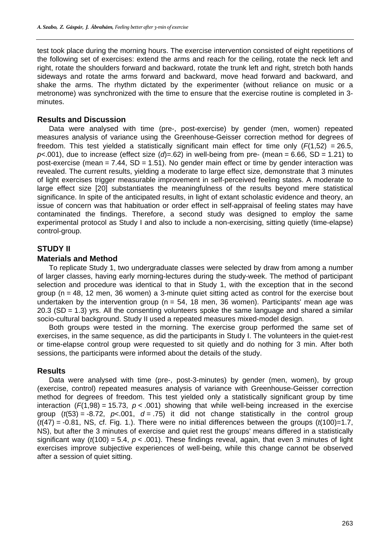test took place during the morning hours. The exercise intervention consisted of eight repetitions of the following set of exercises: extend the arms and reach for the ceiling, rotate the neck left and right, rotate the shoulders forward and backward, rotate the trunk left and right, stretch both hands sideways and rotate the arms forward and backward, move head forward and backward, and shake the arms. The rhythm dictated by the experimenter (without reliance on music or a metronome) was synchronized with the time to ensure that the exercise routine is completed in 3 minutes.

### **Results and Discussion**

Data were analysed with time (pre-, post-exercise) by gender (men, women) repeated measures analysis of variance using the Greenhouse-Geisser correction method for degrees of freedom. This test yielded a statistically significant main effect for time only  $(F(1,52) = 26.5,$  $p$ <.001), due to increase (effect size ( $q$ )=.62) in well-being from pre- (mean = 6.66, SD = 1.21) to post-exercise (mean  $= 7.44$ , SD  $= 1.51$ ). No gender main effect or time by gender interaction was revealed. The current results, yielding a moderate to large effect size, demonstrate that 3 minutes of light exercises trigger measurable improvement in self-perceived feeling states. A moderate to large effect size [20] substantiates the meaningfulness of the results beyond mere statistical significance. In spite of the anticipated results, in light of extant scholastic evidence and theory, an issue of concern was that habituation or order effect in self-appraisal of feeling states may have contaminated the findings. Therefore, a second study was designed to employ the same experimental protocol as Study I and also to include a non-exercising, sitting quietly (time-elapse) control-group.

# **STUDY II**

#### **Materials and Method**

To replicate Study 1, two undergraduate classes were selected by draw from among a number of larger classes, having early morning-lectures during the study-week. The method of participant selection and procedure was identical to that in Study 1, with the exception that in the second group (n = 48, 12 men, 36 women) a 3-minute quiet sitting acted as control for the exercise bout undertaken by the intervention group ( $n = 54$ , 18 men, 36 women). Participants' mean age was 20.3 (SD = 1.3) yrs. All the consenting volunteers spoke the same language and shared a similar socio-cultural background. Study II used a repeated measures mixed-model design.

Both groups were tested in the morning. The exercise group performed the same set of exercises, in the same sequence, as did the participants in Study I. The volunteers in the quiet-rest or time-elapse control group were requested to sit quietly and do nothing for 3 min. After both sessions, the participants were informed about the details of the study.

# **Results**

Data were analysed with time (pre-, post-3-minutes) by gender (men, women), by group (exercise, control) repeated measures analysis of variance with Greenhouse-Geisser correction method for degrees of freedom. This test yielded only a statistically significant group by time interaction  $(F(1,98) = 15.73, p < .001)$  showing that while well-being increased in the exercise group  $(t/53) = -8.72$ ,  $p \le 0.001$ ,  $d = .75$  it did not change statistically in the control group (*t*(47) = -0.81, NS, cf. Fig. 1.). There were no initial differences between the groups (*t*(100)=1.7, NS), but after the 3 minutes of exercise and quiet rest the groups' means differed in a statistically significant way ( $t(100) = 5.4$ ,  $p < .001$ ). These findings reveal, again, that even 3 minutes of light exercises improve subjective experiences of well-being, while this change cannot be observed after a session of quiet sitting.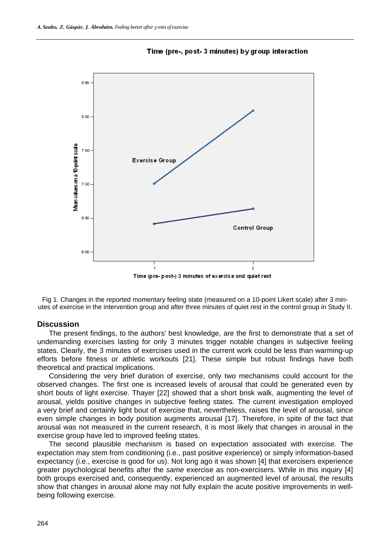

Time (pre-, post-3 minutes) by group interaction

Fig 1. Changes in the reported momentary feeling state (measured on a 10-point Likert scale) after 3 minutes of exercise in the intervention group and after three minutes of quiet rest in the control group in Study II.

#### **Discussion**

The present findings, to the authors' best knowledge, are the first to demonstrate that a set of undemanding exercises lasting for only 3 minutes trigger notable changes in subjective feeling states. Clearly, the 3 minutes of exercises used in the current work could be less than warming-up efforts before fitness or athletic workouts [21]. These simple but robust findings have both theoretical and practical implications.

Considering the very brief duration of exercise, only two mechanisms could account for the observed changes. The first one is increased levels of arousal that could be generated even by short bouts of light exercise. Thayer [22] showed that a short brisk walk, augmenting the level of arousal, yields positive changes in subjective feeling states. The current investigation employed a very brief and certainly light bout of exercise that, nevertheless, raises the level of arousal, since even simple changes in body position augments arousal [17]. Therefore, in spite of the fact that arousal was not measured in the current research, it is most likely that changes in arousal in the exercise group have led to improved feeling states.

The second plausible mechanism is based on expectation associated with exercise. The expectation may stem from conditioning (i.e., past positive experience) or simply information-based expectancy (i.e., exercise is good for us). Not long ago it was shown [4] that exercisers experience greater psychological benefits after the *same* exercise as non-exercisers. While in this inquiry [4] both groups exercised and, consequently, experienced an augmented level of arousal, the results show that changes in arousal alone may not fully explain the acute positive improvements in wellbeing following exercise.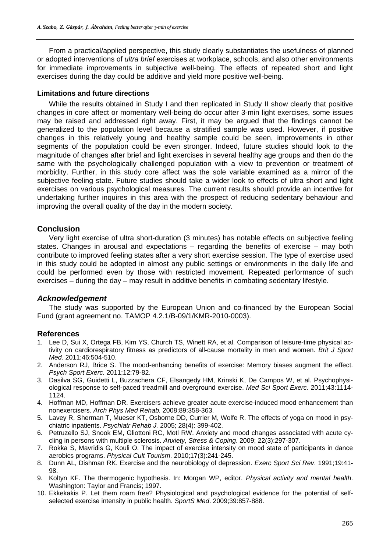From a practical/applied perspective, this study clearly substantiates the usefulness of planned or adopted interventions of *ultra brief* exercises at workplace, schools, and also other environments for immediate improvements in subjective well-being. The effects of repeated short and light exercises during the day could be additive and yield more positive well-being.

#### **Limitations and future directions**

While the results obtained in Study I and then replicated in Study II show clearly that positive changes in core affect or momentary well-being do occur after 3-min light exercises, some issues may be raised and addressed right away. First, it may be argued that the findings cannot be generalized to the population level because a stratified sample was used. However, if positive changes in this relatively young and healthy sample could be seen, improvements in other segments of the population could be even stronger. Indeed, future studies should look to the magnitude of changes after brief and light exercises in several healthy age groups and then do the same with the psychologically challenged population with a view to prevention or treatment of morbidity. Further, in this study core affect was the sole variable examined as a mirror of the subjective feeling state. Future studies should take a wider look to effects of ultra short and light exercises on various psychological measures. The current results should provide an incentive for undertaking further inquires in this area with the prospect of reducing sedentary behaviour and improving the overall quality of the day in the modern society.

# **Conclusion**

Very light exercise of ultra short-duration (3 minutes) has notable effects on subjective feeling states. Changes in arousal and expectations – regarding the benefits of exercise – may both contribute to improved feeling states after a very short exercise session. The type of exercise used in this study could be adopted in almost any public settings or environments in the daily life and could be performed even by those with restricted movement. Repeated performance of such exercises – during the day – may result in additive benefits in combating sedentary lifestyle.

# *Acknowledgement*

The study was supported by the European Union and co-financed by the European Social Fund (grant agreement no. TAMOP 4.2.1/B-09/1/KMR-2010-0003).

#### **References**

- 1. Lee D, Sui X, Ortega FB, Kim YS, Church TS, Winett RA, et al. Comparison of leisure-time physical activity on cardiorespiratory fitness as predictors of all-cause mortality in men and women. *Brit J Sport Med.* 2011;46:504-510.
- 2. Anderson RJ, Brice S. The mood-enhancing benefits of exercise: Memory biases augment the effect. *Psych Sport Exerc.* 2011;12:79-82.
- 3. Dasilva SG, Guidetti L, Buzzachera CF, Elsangedy HM, Krinski K, De Campos W, et al. Psychophysiological response to self-paced treadmill and overground exercise. *Med Sci Sport Exerc*. 2011;43:1114- 1124.
- 4. Hoffman MD, Hoffman DR. Exercisers achieve greater acute exercise-induced mood enhancement than nonexercisers. *Arch Phys Med Rehab.* 2008;89:358-363.
- 5. Lavey R, Sherman T, Mueser KT, Osborne DD, Currier M, Wolfe R. The effects of yoga on mood in psychiatric inpatients. *Psychiatr Rehab J.* 2005; 28(4): 399-402.
- 6. Petruzello SJ, Snook EM, Gliottoni RC, Motl RW. Anxiety and mood changes associated with acute cycling in persons with multiple sclerosis. *Anxiety, Stress & Coping*. 2009; 22(3):297-307.
- 7. Rokka S, Mavridis G, Kouli O. The impact of exercise intensity on mood state of participants in dance aerobics programs. *Physical Cult Tourism*. 2010;17(3):241-245.
- 8. Dunn AL, Dishman RK. Exercise and the neurobiology of depression. *Exerc Sport Sci Rev*. 1991;19:41- 98.
- 9. Koltyn KF. The thermogenic hypothesis. In: Morgan WP, editor. *Physical activity and mental health*. Washington: Taylor and Francis; 1997.
- 10. Ekkekakis P. Let them roam free? Physiological and psychological evidence for the potential of selfselected exercise intensity in public health. *SportS Med*. 2009;39:857-888.